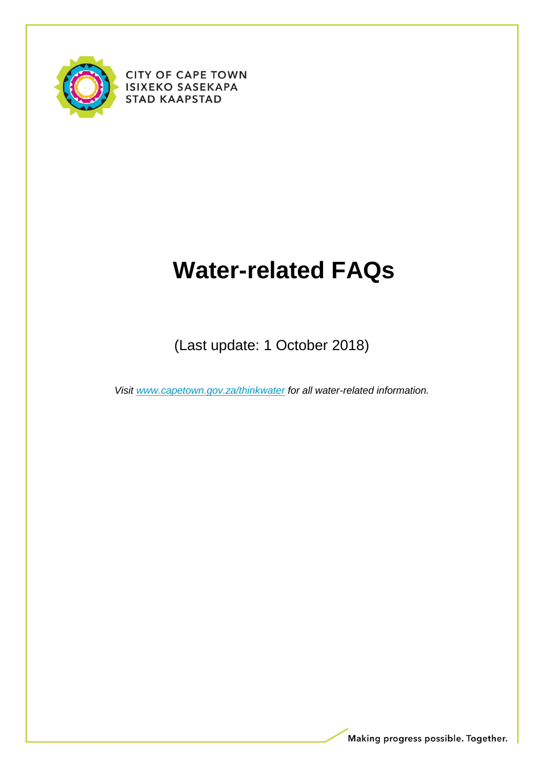

**CITY OF CAPE TOWN ISIXEKO SASEKAPA STAD KAAPSTAD** 

# **Water-related FAQs**

(Last update: 1 October 2018)

*Visit [www.capetown.gov.za/thinkwater](http://www.capetown.gov.za/thinkwater) for all water-related information.*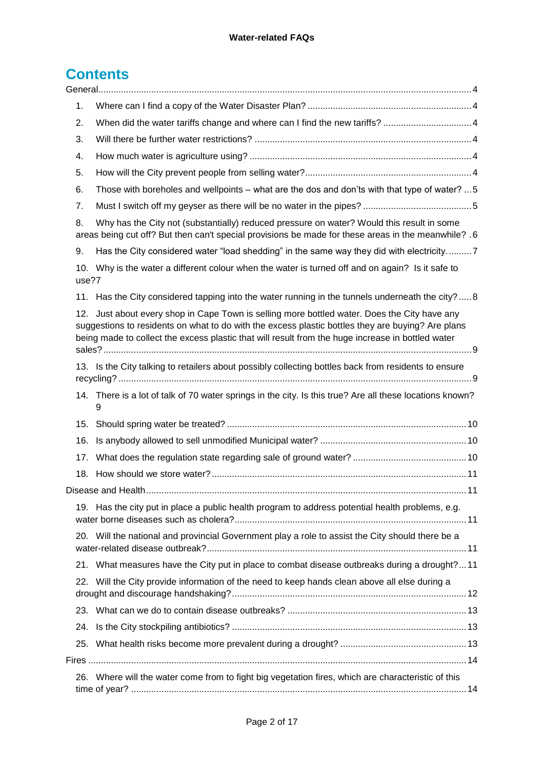# **Contents**

| 1.    |                                                                                                                                                                                                                                                                                                    |  |  |  |
|-------|----------------------------------------------------------------------------------------------------------------------------------------------------------------------------------------------------------------------------------------------------------------------------------------------------|--|--|--|
| 2.    |                                                                                                                                                                                                                                                                                                    |  |  |  |
| 3.    |                                                                                                                                                                                                                                                                                                    |  |  |  |
| 4.    |                                                                                                                                                                                                                                                                                                    |  |  |  |
| 5.    |                                                                                                                                                                                                                                                                                                    |  |  |  |
| 6.    | Those with boreholes and wellpoints - what are the dos and don'ts with that type of water?  5                                                                                                                                                                                                      |  |  |  |
| 7.    |                                                                                                                                                                                                                                                                                                    |  |  |  |
| 8.    | Why has the City not (substantially) reduced pressure on water? Would this result in some<br>areas being cut off? But then can't special provisions be made for these areas in the meanwhile? .6                                                                                                   |  |  |  |
| 9.    | Has the City considered water "load shedding" in the same way they did with electricity7                                                                                                                                                                                                           |  |  |  |
| use?7 | 10. Why is the water a different colour when the water is turned off and on again? Is it safe to                                                                                                                                                                                                   |  |  |  |
|       | 11. Has the City considered tapping into the water running in the tunnels underneath the city?  8                                                                                                                                                                                                  |  |  |  |
| 12.   | Just about every shop in Cape Town is selling more bottled water. Does the City have any<br>suggestions to residents on what to do with the excess plastic bottles they are buying? Are plans<br>being made to collect the excess plastic that will result from the huge increase in bottled water |  |  |  |
|       | 13. Is the City talking to retailers about possibly collecting bottles back from residents to ensure                                                                                                                                                                                               |  |  |  |
|       | 14. There is a lot of talk of 70 water springs in the city. Is this true? Are all these locations known?<br>9                                                                                                                                                                                      |  |  |  |
| 15.   |                                                                                                                                                                                                                                                                                                    |  |  |  |
| 16.   |                                                                                                                                                                                                                                                                                                    |  |  |  |
| 17.   |                                                                                                                                                                                                                                                                                                    |  |  |  |
| 18.   |                                                                                                                                                                                                                                                                                                    |  |  |  |
|       |                                                                                                                                                                                                                                                                                                    |  |  |  |
| 19.   | Has the city put in place a public health program to address potential health problems, e.g.                                                                                                                                                                                                       |  |  |  |
|       | 20. Will the national and provincial Government play a role to assist the City should there be a                                                                                                                                                                                                   |  |  |  |
|       | 21. What measures have the City put in place to combat disease outbreaks during a drought?11                                                                                                                                                                                                       |  |  |  |
| 22.   | Will the City provide information of the need to keep hands clean above all else during a                                                                                                                                                                                                          |  |  |  |
|       |                                                                                                                                                                                                                                                                                                    |  |  |  |
| 24.   |                                                                                                                                                                                                                                                                                                    |  |  |  |
| 25.   |                                                                                                                                                                                                                                                                                                    |  |  |  |
|       |                                                                                                                                                                                                                                                                                                    |  |  |  |
|       | 26. Where will the water come from to fight big vegetation fires, which are characteristic of this                                                                                                                                                                                                 |  |  |  |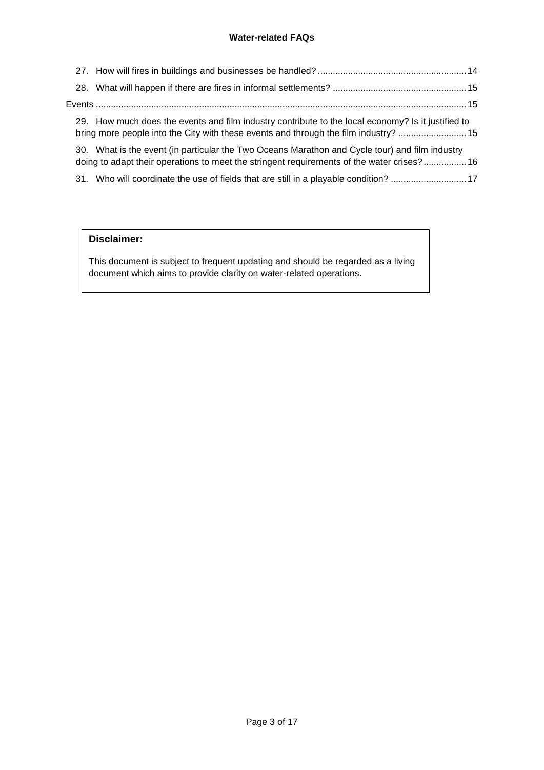|  | 29. How much does the events and film industry contribute to the local economy? Is it justified to<br>bring more people into the City with these events and through the film industry? 15    |  |
|--|----------------------------------------------------------------------------------------------------------------------------------------------------------------------------------------------|--|
|  | 30. What is the event (in particular the Two Oceans Marathon and Cycle tour) and film industry<br>doing to adapt their operations to meet the stringent requirements of the water crises? 16 |  |
|  | 31. Who will coordinate the use of fields that are still in a playable condition? 17                                                                                                         |  |

### **Disclaimer:**

This document is subject to frequent updating and should be regarded as a living document which aims to provide clarity on water-related operations.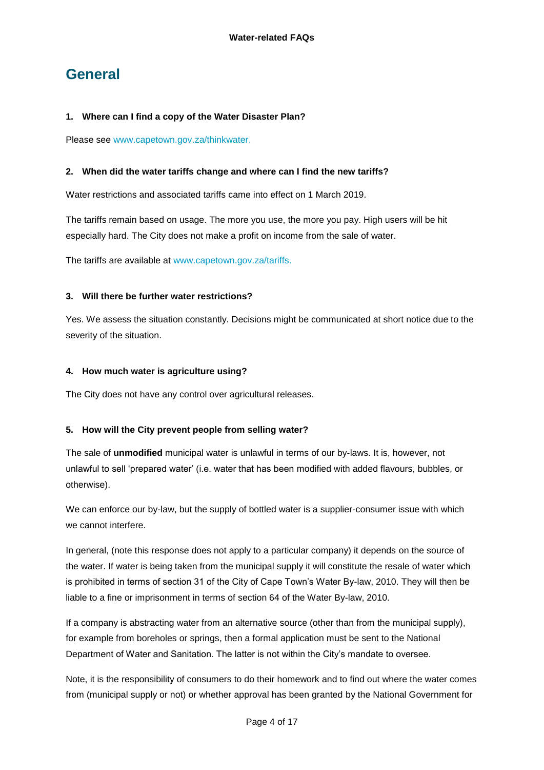## <span id="page-3-0"></span>**General**

### <span id="page-3-1"></span>**1. Where can I find a copy of the Water Disaster Plan?**

Please see [www.capetown.gov.za/thinkwater.](http://www.capetown.gov.za/thinkwater)

### <span id="page-3-2"></span>**2. When did the water tariffs change and where can I find the new tariffs?**

Water restrictions and associated tariffs came into effect on 1 March 2019.

The tariffs remain based on usage. The more you use, the more you pay. High users will be hit especially hard. The City does not make a profit on income from the sale of water.

The tariffs are available at [www.capetown.gov.za/tariffs.](http://www.capetown.gov.za/tariffs)

### <span id="page-3-3"></span>**3. Will there be further water restrictions?**

Yes. We assess the situation constantly. Decisions might be communicated at short notice due to the severity of the situation.

### <span id="page-3-4"></span>**4. How much water is agriculture using?**

The City does not have any control over agricultural releases.

### <span id="page-3-5"></span>**5. How will the City prevent people from selling water?**

The sale of **unmodified** municipal water is unlawful in terms of our by-laws. It is, however, not unlawful to sell 'prepared water' (i.e. water that has been modified with added flavours, bubbles, or otherwise).

We can enforce our by-law, but the supply of bottled water is a supplier-consumer issue with which we cannot interfere.

In general, (note this response does not apply to a particular company) it depends on the source of the water. If water is being taken from the municipal supply it will constitute the resale of water which is prohibited in terms of section 31 of the City of Cape Town's Water By-law, 2010. They will then be liable to a fine or imprisonment in terms of section 64 of the Water By-law, 2010.

If a company is abstracting water from an alternative source (other than from the municipal supply), for example from boreholes or springs, then a formal application must be sent to the National Department of Water and Sanitation. The latter is not within the City's mandate to oversee.

Note, it is the responsibility of consumers to do their homework and to find out where the water comes from (municipal supply or not) or whether approval has been granted by the National Government for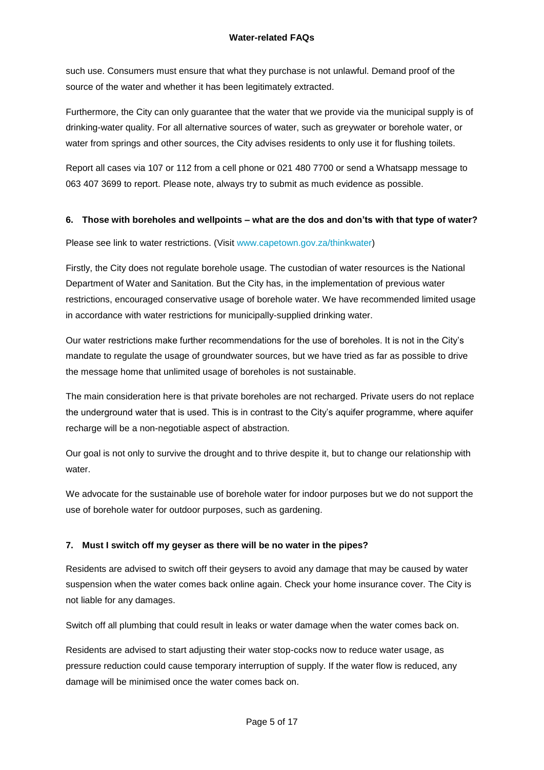such use. Consumers must ensure that what they purchase is not unlawful. Demand proof of the source of the water and whether it has been legitimately extracted.

Furthermore, the City can only guarantee that the water that we provide via the municipal supply is of drinking-water quality. For all alternative sources of water, such as greywater or borehole water, or water from springs and other sources, the City advises residents to only use it for flushing toilets.

Report all cases via 107 or 112 from a cell phone or 021 480 7700 or send a Whatsapp message to 063 407 3699 to report. Please note, always try to submit as much evidence as possible.

### <span id="page-4-0"></span>**6. Those with boreholes and wellpoints – what are the dos and don'ts with that type of water?**

Please see link to water restrictions. (Visit [www.capetown.gov.za/thinkwater\)](http://www.capetown.gov.za/thinkwater)

Firstly, the City does not regulate borehole usage. The custodian of water resources is the National Department of Water and Sanitation. But the City has, in the implementation of previous water restrictions, encouraged conservative usage of borehole water. We have recommended limited usage in accordance with water restrictions for municipally-supplied drinking water.

Our water restrictions make further recommendations for the use of boreholes. It is not in the City's mandate to regulate the usage of groundwater sources, but we have tried as far as possible to drive the message home that unlimited usage of boreholes is not sustainable.

The main consideration here is that private boreholes are not recharged. Private users do not replace the underground water that is used. This is in contrast to the City's aquifer programme, where aquifer recharge will be a non-negotiable aspect of abstraction.

Our goal is not only to survive the drought and to thrive despite it, but to change our relationship with water.

We advocate for the sustainable use of borehole water for indoor purposes but we do not support the use of borehole water for outdoor purposes, such as gardening.

### <span id="page-4-1"></span>**7. Must I switch off my geyser as there will be no water in the pipes?**

Residents are advised to switch off their geysers to avoid any damage that may be caused by water suspension when the water comes back online again. Check your home insurance cover. The City is not liable for any damages.

Switch off all plumbing that could result in leaks or water damage when the water comes back on.

Residents are advised to start adjusting their water stop-cocks now to reduce water usage, as pressure reduction could cause temporary interruption of supply. If the water flow is reduced, any damage will be minimised once the water comes back on.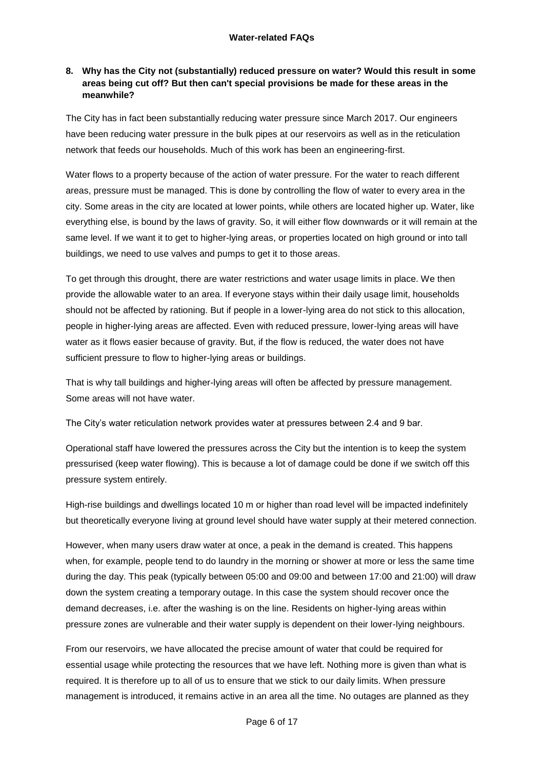### <span id="page-5-0"></span>**8. Why has the City not (substantially) reduced pressure on water? Would this result in some areas being cut off? But then can't special provisions be made for these areas in the meanwhile?**

The City has in fact been substantially reducing water pressure since March 2017. Our engineers have been reducing water pressure in the bulk pipes at our reservoirs as well as in the reticulation network that feeds our households. Much of this work has been an engineering-first.

Water flows to a property because of the action of water pressure. For the water to reach different areas, pressure must be managed. This is done by controlling the flow of water to every area in the city. Some areas in the city are located at lower points, while others are located higher up. Water, like everything else, is bound by the laws of gravity. So, it will either flow downwards or it will remain at the same level. If we want it to get to higher-lying areas, or properties located on high ground or into tall buildings, we need to use valves and pumps to get it to those areas.

To get through this drought, there are water restrictions and water usage limits in place. We then provide the allowable water to an area. If everyone stays within their daily usage limit, households should not be affected by rationing. But if people in a lower-lying area do not stick to this allocation, people in higher-lying areas are affected. Even with reduced pressure, lower-lying areas will have water as it flows easier because of gravity. But, if the flow is reduced, the water does not have sufficient pressure to flow to higher-lying areas or buildings.

That is why tall buildings and higher-lying areas will often be affected by pressure management. Some areas will not have water.

The City's water reticulation network provides water at pressures between 2.4 and 9 bar.

Operational staff have lowered the pressures across the City but the intention is to keep the system pressurised (keep water flowing). This is because a lot of damage could be done if we switch off this pressure system entirely.

High-rise buildings and dwellings located 10 m or higher than road level will be impacted indefinitely but theoretically everyone living at ground level should have water supply at their metered connection.

However, when many users draw water at once, a peak in the demand is created. This happens when, for example, people tend to do laundry in the morning or shower at more or less the same time during the day. This peak (typically between 05:00 and 09:00 and between 17:00 and 21:00) will draw down the system creating a temporary outage. In this case the system should recover once the demand decreases, i.e. after the washing is on the line. Residents on higher-lying areas within pressure zones are vulnerable and their water supply is dependent on their lower-lying neighbours.

From our reservoirs, we have allocated the precise amount of water that could be required for essential usage while protecting the resources that we have left. Nothing more is given than what is required. It is therefore up to all of us to ensure that we stick to our daily limits. When pressure management is introduced, it remains active in an area all the time. No outages are planned as they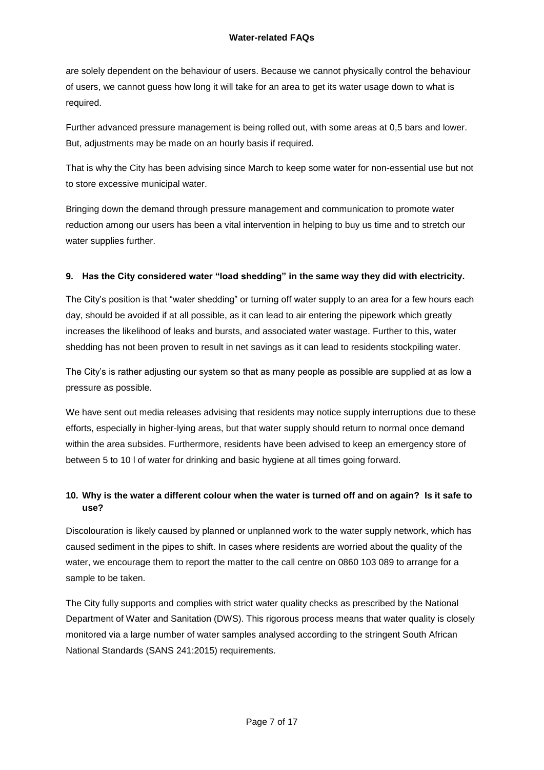are solely dependent on the behaviour of users. Because we cannot physically control the behaviour of users, we cannot guess how long it will take for an area to get its water usage down to what is required.

Further advanced pressure management is being rolled out, with some areas at 0,5 bars and lower. But, adjustments may be made on an hourly basis if required.

That is why the City has been advising since March to keep some water for non-essential use but not to store excessive municipal water.

Bringing down the demand through pressure management and communication to promote water reduction among our users has been a vital intervention in helping to buy us time and to stretch our water supplies further.

### <span id="page-6-0"></span>**9. Has the City considered water "load shedding" in the same way they did with electricity.**

The City's position is that "water shedding" or turning off water supply to an area for a few hours each day, should be avoided if at all possible, as it can lead to air entering the pipework which greatly increases the likelihood of leaks and bursts, and associated water wastage. Further to this, water shedding has not been proven to result in net savings as it can lead to residents stockpiling water.

The City's is rather adjusting our system so that as many people as possible are supplied at as low a pressure as possible.

We have sent out media releases advising that residents may notice supply interruptions due to these efforts, especially in higher-lying areas, but that water supply should return to normal once demand within the area subsides. Furthermore, residents have been advised to keep an emergency store of between 5 to 10 l of water for drinking and basic hygiene at all times going forward.

### <span id="page-6-1"></span>**10. Why is the water a different colour when the water is turned off and on again? Is it safe to use?**

Discolouration is likely caused by planned or unplanned work to the water supply network, which has caused sediment in the pipes to shift. In cases where residents are worried about the quality of the water, we encourage them to report the matter to the call centre on 0860 103 089 to arrange for a sample to be taken.

The City fully supports and complies with strict water quality checks as prescribed by the National Department of Water and Sanitation (DWS). This rigorous process means that water quality is closely monitored via a large number of water samples analysed according to the stringent South African National Standards (SANS 241:2015) requirements.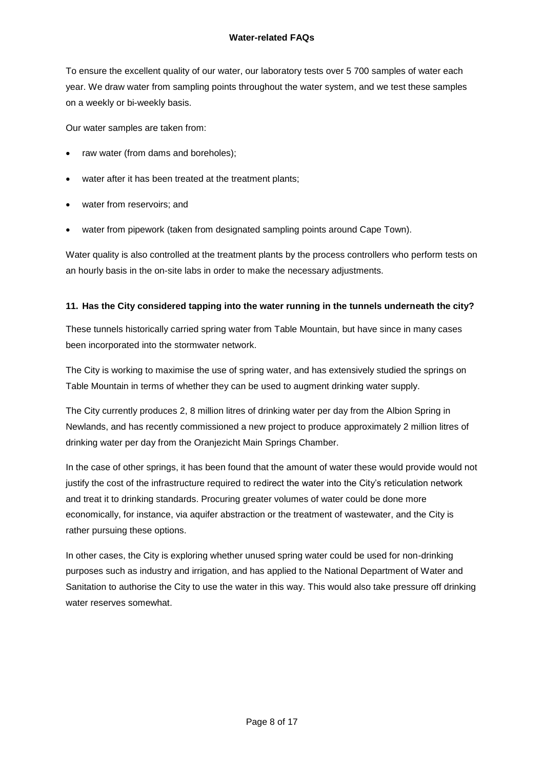To ensure the excellent quality of our water, our laboratory tests over 5 700 samples of water each year. We draw water from sampling points throughout the water system, and we test these samples on a weekly or bi-weekly basis.

Our water samples are taken from:

- raw water (from dams and boreholes);
- water after it has been treated at the treatment plants;
- water from reservoirs; and
- water from pipework (taken from designated sampling points around Cape Town).

Water quality is also controlled at the treatment plants by the process controllers who perform tests on an hourly basis in the on-site labs in order to make the necessary adjustments.

### <span id="page-7-0"></span>**11. Has the City considered tapping into the water running in the tunnels underneath the city?**

These tunnels historically carried spring water from Table Mountain, but have since in many cases been incorporated into the stormwater network.

The City is working to maximise the use of spring water, and has extensively studied the springs on Table Mountain in terms of whether they can be used to augment drinking water supply.

The City currently produces 2, 8 million litres of drinking water per day from the Albion Spring in Newlands, and has recently commissioned a new project to produce approximately 2 million litres of drinking water per day from the Oranjezicht Main Springs Chamber.

In the case of other springs, it has been found that the amount of water these would provide would not justify the cost of the infrastructure required to redirect the water into the City's reticulation network and treat it to drinking standards. Procuring greater volumes of water could be done more economically, for instance, via aquifer abstraction or the treatment of wastewater, and the City is rather pursuing these options.

In other cases, the City is exploring whether unused spring water could be used for non-drinking purposes such as industry and irrigation, and has applied to the National Department of Water and Sanitation to authorise the City to use the water in this way. This would also take pressure off drinking water reserves somewhat.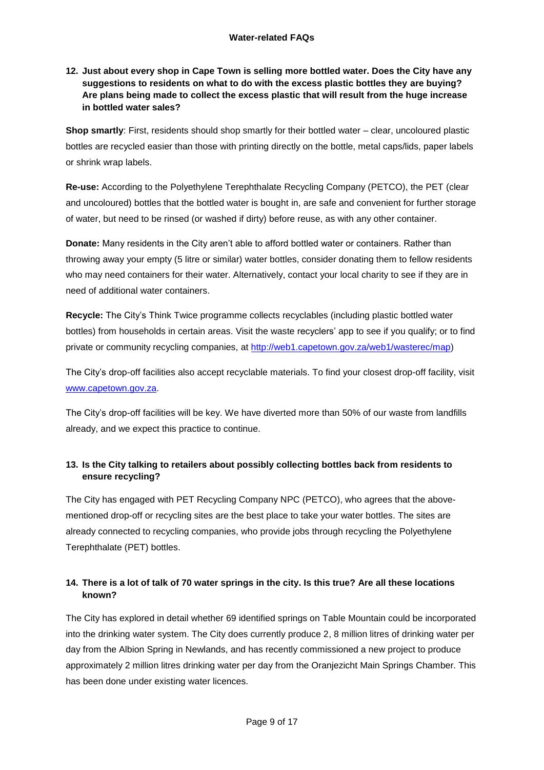### <span id="page-8-0"></span>**12. Just about every shop in Cape Town is selling more bottled water. Does the City have any suggestions to residents on what to do with the excess plastic bottles they are buying? Are plans being made to collect the excess plastic that will result from the huge increase in bottled water sales?**

**Shop smartly**: First, residents should shop smartly for their bottled water – clear, uncoloured plastic bottles are recycled easier than those with printing directly on the bottle, metal caps/lids, paper labels or shrink wrap labels.

**Re-use:** According to the Polyethylene Terephthalate Recycling Company (PETCO), the PET (clear and uncoloured) bottles that the bottled water is bought in, are safe and convenient for further storage of water, but need to be rinsed (or washed if dirty) before reuse, as with any other container.

**Donate:** Many residents in the City aren't able to afford bottled water or containers. Rather than throwing away your empty (5 litre or similar) water bottles, consider donating them to fellow residents who may need containers for their water. Alternatively, contact your local charity to see if they are in need of additional water containers.

**Recycle:** The City's Think Twice programme collects recyclables (including plastic bottled water bottles) from households in certain areas. Visit the waste recyclers' app to see if you qualify; or to find private or community recycling companies, at [http://web1.capetown.gov.za/web1/wasterec/map\)](http://web1.capetown.gov.za/web1/wasterec/map)

The City's drop-off facilities also accept recyclable materials. To find your closest drop-off facility, visit [www.capetown.gov.za.](http://www.capetown.gov.za/)

The City's drop-off facilities will be key. We have diverted more than 50% of our waste from landfills already, and we expect this practice to continue.

### <span id="page-8-1"></span>**13. Is the City talking to retailers about possibly collecting bottles back from residents to ensure recycling?**

The City has engaged with PET Recycling Company NPC (PETCO), who agrees that the abovementioned drop-off or recycling sites are the best place to take your water bottles. The sites are already connected to recycling companies, who provide jobs through recycling the Polyethylene Terephthalate (PET) bottles.

### <span id="page-8-2"></span>**14. There is a lot of talk of 70 water springs in the city. Is this true? Are all these locations known?**

The City has explored in detail whether 69 identified springs on Table Mountain could be incorporated into the drinking water system. The City does currently produce 2, 8 million litres of drinking water per day from the Albion Spring in Newlands, and has recently commissioned a new project to produce approximately 2 million litres drinking water per day from the Oranjezicht Main Springs Chamber. This has been done under existing water licences.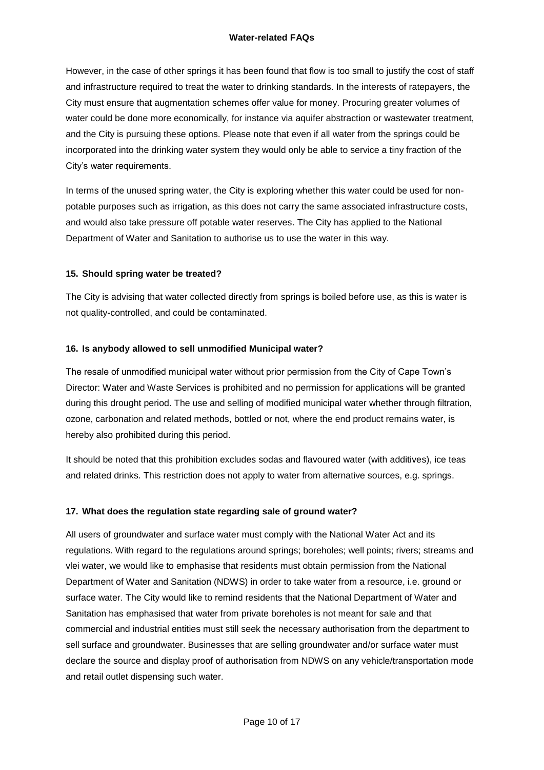However, in the case of other springs it has been found that flow is too small to justify the cost of staff and infrastructure required to treat the water to drinking standards. In the interests of ratepayers, the City must ensure that augmentation schemes offer value for money. Procuring greater volumes of water could be done more economically, for instance via aquifer abstraction or wastewater treatment, and the City is pursuing these options. Please note that even if all water from the springs could be incorporated into the drinking water system they would only be able to service a tiny fraction of the City's water requirements.

In terms of the unused spring water, the City is exploring whether this water could be used for nonpotable purposes such as irrigation, as this does not carry the same associated infrastructure costs, and would also take pressure off potable water reserves. The City has applied to the National Department of Water and Sanitation to authorise us to use the water in this way.

### <span id="page-9-0"></span>**15. Should spring water be treated?**

The City is advising that water collected directly from springs is boiled before use, as this is water is not quality-controlled, and could be contaminated.

### <span id="page-9-1"></span>**16. Is anybody allowed to sell unmodified Municipal water?**

The resale of unmodified municipal water without prior permission from the City of Cape Town's Director: Water and Waste Services is prohibited and no permission for applications will be granted during this drought period. The use and selling of modified municipal water whether through filtration, ozone, carbonation and related methods, bottled or not, where the end product remains water, is hereby also prohibited during this period.

It should be noted that this prohibition excludes sodas and flavoured water (with additives), ice teas and related drinks. This restriction does not apply to water from alternative sources, e.g. springs.

### <span id="page-9-2"></span>**17. What does the regulation state regarding sale of ground water?**

All users of groundwater and surface water must comply with the National Water Act and its regulations. With regard to the regulations around springs; boreholes; well points; rivers; streams and vlei water, we would like to emphasise that residents must obtain permission from the National Department of Water and Sanitation (NDWS) in order to take water from a resource, i.e. ground or surface water. The City would like to remind residents that the National Department of Water and Sanitation has emphasised that water from private boreholes is not meant for sale and that commercial and industrial entities must still seek the necessary authorisation from the department to sell surface and groundwater. Businesses that are selling groundwater and/or surface water must declare the source and display proof of authorisation from NDWS on any vehicle/transportation mode and retail outlet dispensing such water.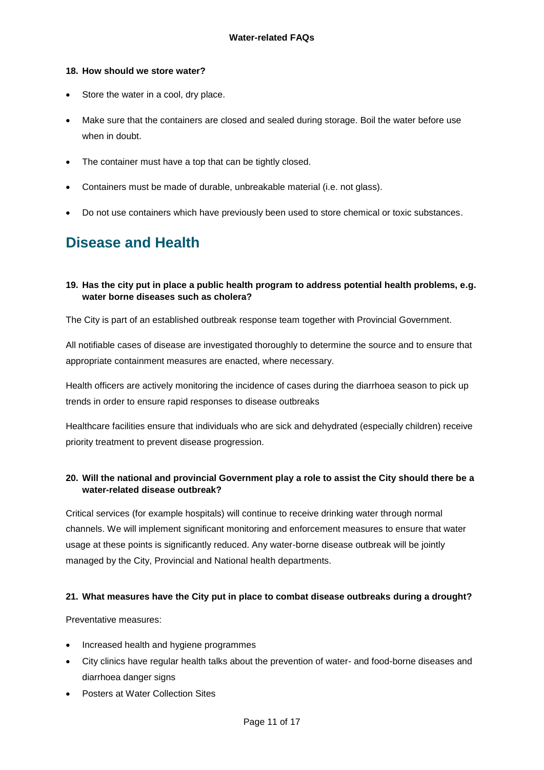### <span id="page-10-0"></span>**18. How should we store water?**

- Store the water in a cool, dry place.
- Make sure that the containers are closed and sealed during storage. Boil the water before use when in doubt.
- The container must have a top that can be tightly closed.
- Containers must be made of durable, unbreakable material (i.e. not glass).
- Do not use containers which have previously been used to store chemical or toxic substances.

### <span id="page-10-1"></span>**Disease and Health**

### <span id="page-10-2"></span>**19. Has the city put in place a public health program to address potential health problems, e.g. water borne diseases such as cholera?**

The City is part of an established outbreak response team together with Provincial Government.

All notifiable cases of disease are investigated thoroughly to determine the source and to ensure that appropriate containment measures are enacted, where necessary.

Health officers are actively monitoring the incidence of cases during the diarrhoea season to pick up trends in order to ensure rapid responses to disease outbreaks

Healthcare facilities ensure that individuals who are sick and dehydrated (especially children) receive priority treatment to prevent disease progression.

### <span id="page-10-3"></span>**20. Will the national and provincial Government play a role to assist the City should there be a water-related disease outbreak?**

Critical services (for example hospitals) will continue to receive drinking water through normal channels. We will implement significant monitoring and enforcement measures to ensure that water usage at these points is significantly reduced. Any water-borne disease outbreak will be jointly managed by the City, Provincial and National health departments.

### <span id="page-10-4"></span>**21. What measures have the City put in place to combat disease outbreaks during a drought?**

Preventative measures:

- Increased health and hygiene programmes
- City clinics have regular health talks about the prevention of water- and food-borne diseases and diarrhoea danger signs
- Posters at Water Collection Sites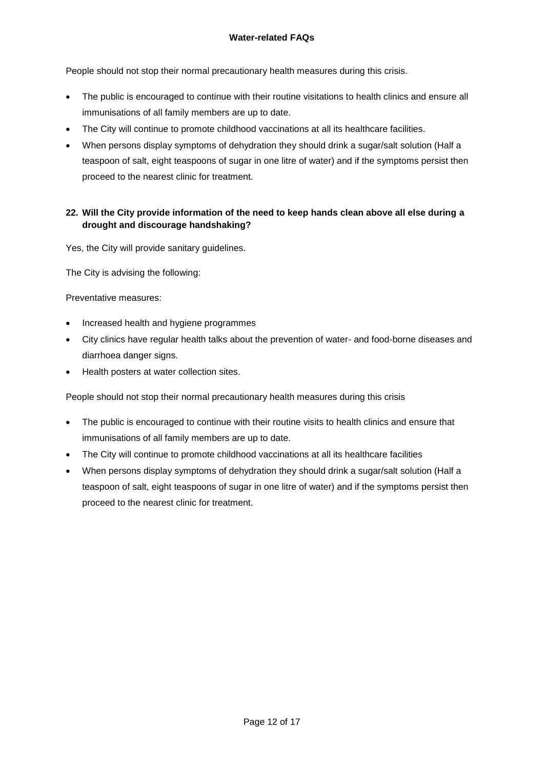People should not stop their normal precautionary health measures during this crisis.

- The public is encouraged to continue with their routine visitations to health clinics and ensure all immunisations of all family members are up to date.
- The City will continue to promote childhood vaccinations at all its healthcare facilities.
- When persons display symptoms of dehydration they should drink a sugar/salt solution (Half a teaspoon of salt, eight teaspoons of sugar in one litre of water) and if the symptoms persist then proceed to the nearest clinic for treatment.

### <span id="page-11-0"></span>**22. Will the City provide information of the need to keep hands clean above all else during a drought and discourage handshaking?**

Yes, the City will provide sanitary guidelines.

The City is advising the following:

Preventative measures:

- Increased health and hygiene programmes
- City clinics have regular health talks about the prevention of water- and food-borne diseases and diarrhoea danger signs.
- Health posters at water collection sites.

People should not stop their normal precautionary health measures during this crisis

- The public is encouraged to continue with their routine visits to health clinics and ensure that immunisations of all family members are up to date.
- The City will continue to promote childhood vaccinations at all its healthcare facilities
- When persons display symptoms of dehydration they should drink a sugar/salt solution (Half a teaspoon of salt, eight teaspoons of sugar in one litre of water) and if the symptoms persist then proceed to the nearest clinic for treatment.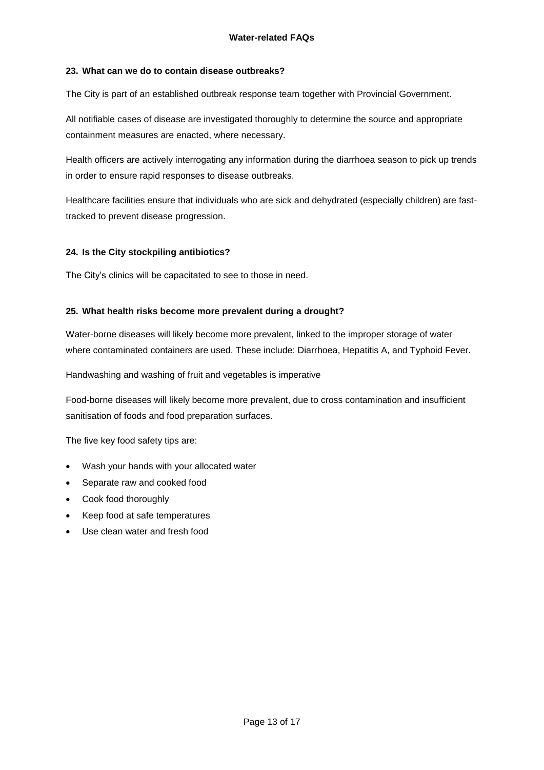### <span id="page-12-0"></span>**23. What can we do to contain disease outbreaks?**

The City is part of an established outbreak response team together with Provincial Government.

All notifiable cases of disease are investigated thoroughly to determine the source and appropriate containment measures are enacted, where necessary.

Health officers are actively interrogating any information during the diarrhoea season to pick up trends in order to ensure rapid responses to disease outbreaks.

Healthcare facilities ensure that individuals who are sick and dehydrated (especially children) are fasttracked to prevent disease progression.

### <span id="page-12-1"></span>**24. Is the City stockpiling antibiotics?**

The City's clinics will be capacitated to see to those in need.

### <span id="page-12-2"></span>**25. What health risks become more prevalent during a drought?**

Water-borne diseases will likely become more prevalent, linked to the improper storage of water where contaminated containers are used. These include: Diarrhoea, Hepatitis A, and Typhoid Fever.

Handwashing and washing of fruit and vegetables is imperative

Food-borne diseases will likely become more prevalent, due to cross contamination and insufficient sanitisation of foods and food preparation surfaces.

The five key food safety tips are:

- Wash your hands with your allocated water
- Separate raw and cooked food
- Cook food thoroughly
- Keep food at safe temperatures
- Use clean water and fresh food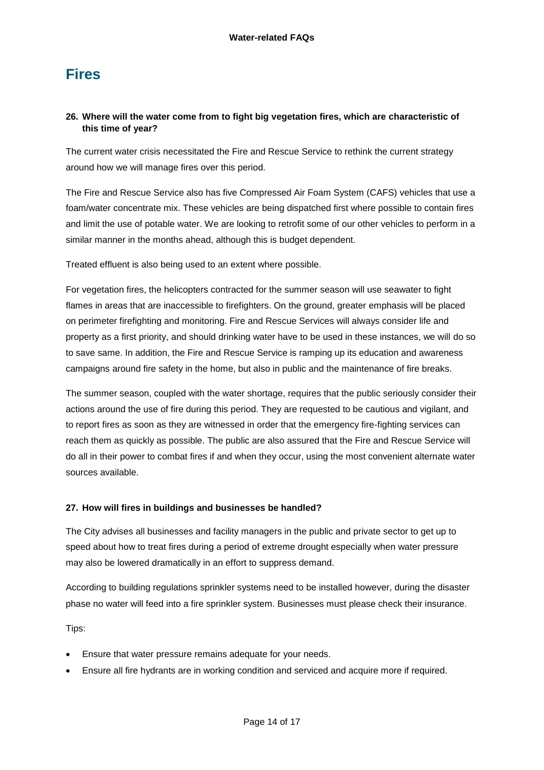### <span id="page-13-0"></span>**Fires**

### <span id="page-13-1"></span>**26. Where will the water come from to fight big vegetation fires, which are characteristic of this time of year?**

The current water crisis necessitated the Fire and Rescue Service to rethink the current strategy around how we will manage fires over this period.

The Fire and Rescue Service also has five Compressed Air Foam System (CAFS) vehicles that use a foam/water concentrate mix. These vehicles are being dispatched first where possible to contain fires and limit the use of potable water. We are looking to retrofit some of our other vehicles to perform in a similar manner in the months ahead, although this is budget dependent.

Treated effluent is also being used to an extent where possible.

For vegetation fires, the helicopters contracted for the summer season will use seawater to fight flames in areas that are inaccessible to firefighters. On the ground, greater emphasis will be placed on perimeter firefighting and monitoring. Fire and Rescue Services will always consider life and property as a first priority, and should drinking water have to be used in these instances, we will do so to save same. In addition, the Fire and Rescue Service is ramping up its education and awareness campaigns around fire safety in the home, but also in public and the maintenance of fire breaks.

The summer season, coupled with the water shortage, requires that the public seriously consider their actions around the use of fire during this period. They are requested to be cautious and vigilant, and to report fires as soon as they are witnessed in order that the emergency fire-fighting services can reach them as quickly as possible. The public are also assured that the Fire and Rescue Service will do all in their power to combat fires if and when they occur, using the most convenient alternate water sources available.

### <span id="page-13-2"></span>**27. How will fires in buildings and businesses be handled?**

The City advises all businesses and facility managers in the public and private sector to get up to speed about how to treat fires during a period of extreme drought especially when water pressure may also be lowered dramatically in an effort to suppress demand.

According to building regulations sprinkler systems need to be installed however, during the disaster phase no water will feed into a fire sprinkler system. Businesses must please check their insurance.

Tips:

- Ensure that water pressure remains adequate for your needs.
- Ensure all fire hydrants are in working condition and serviced and acquire more if required.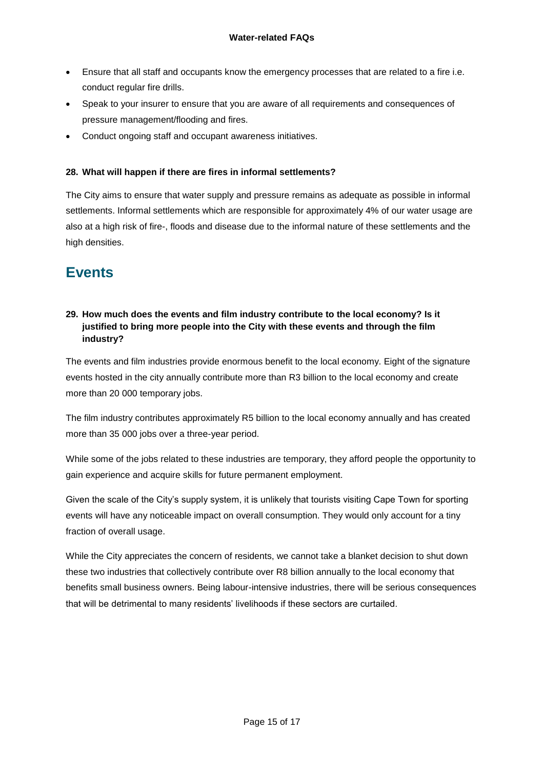- Ensure that all staff and occupants know the emergency processes that are related to a fire i.e. conduct regular fire drills.
- Speak to your insurer to ensure that you are aware of all requirements and consequences of pressure management/flooding and fires.
- Conduct ongoing staff and occupant awareness initiatives.

### <span id="page-14-0"></span>**28. What will happen if there are fires in informal settlements?**

The City aims to ensure that water supply and pressure remains as adequate as possible in informal settlements. Informal settlements which are responsible for approximately 4% of our water usage are also at a high risk of fire-, floods and disease due to the informal nature of these settlements and the high densities.

## <span id="page-14-1"></span>**Events**

### <span id="page-14-2"></span>**29. How much does the events and film industry contribute to the local economy? Is it justified to bring more people into the City with these events and through the film industry?**

The events and film industries provide enormous benefit to the local economy. Eight of the signature events hosted in the city annually contribute more than R3 billion to the local economy and create more than 20 000 temporary jobs.

The film industry contributes approximately R5 billion to the local economy annually and has created more than 35 000 jobs over a three-year period.

While some of the jobs related to these industries are temporary, they afford people the opportunity to gain experience and acquire skills for future permanent employment.

Given the scale of the City's supply system, it is unlikely that tourists visiting Cape Town for sporting events will have any noticeable impact on overall consumption. They would only account for a tiny fraction of overall usage.

While the City appreciates the concern of residents, we cannot take a blanket decision to shut down these two industries that collectively contribute over R8 billion annually to the local economy that benefits small business owners. Being labour-intensive industries, there will be serious consequences that will be detrimental to many residents' livelihoods if these sectors are curtailed.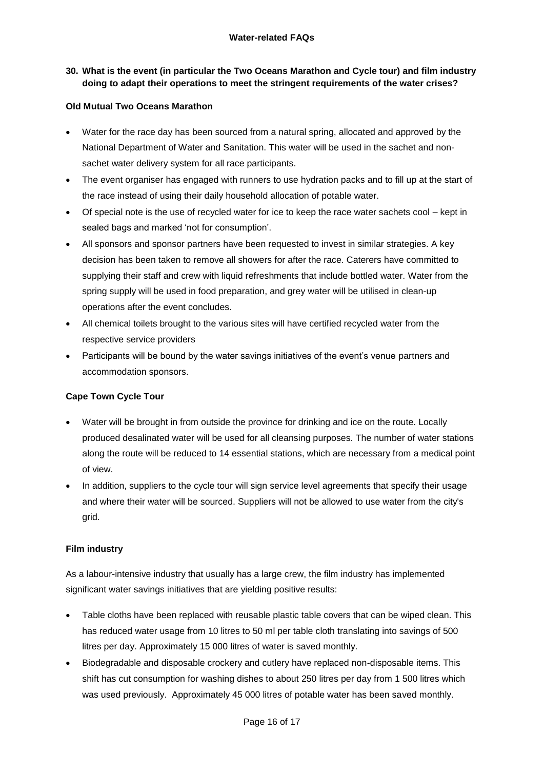### <span id="page-15-0"></span>**30. What is the event (in particular the Two Oceans Marathon and Cycle tour) and film industry doing to adapt their operations to meet the stringent requirements of the water crises?**

### **Old Mutual Two Oceans Marathon**

- Water for the race day has been sourced from a natural spring, allocated and approved by the National Department of Water and Sanitation. This water will be used in the sachet and nonsachet water delivery system for all race participants.
- The event organiser has engaged with runners to use hydration packs and to fill up at the start of the race instead of using their daily household allocation of potable water.
- Of special note is the use of recycled water for ice to keep the race water sachets cool kept in sealed bags and marked 'not for consumption'.
- All sponsors and sponsor partners have been requested to invest in similar strategies. A key decision has been taken to remove all showers for after the race. Caterers have committed to supplying their staff and crew with liquid refreshments that include bottled water. Water from the spring supply will be used in food preparation, and grey water will be utilised in clean-up operations after the event concludes.
- All chemical toilets brought to the various sites will have certified recycled water from the respective service providers
- Participants will be bound by the water savings initiatives of the event's venue partners and accommodation sponsors.

### **Cape Town Cycle Tour**

- Water will be brought in from outside the province for drinking and ice on the route. Locally produced desalinated water will be used for all cleansing purposes. The number of water stations along the route will be reduced to 14 essential stations, which are necessary from a medical point of view.
- In addition, suppliers to the cycle tour will sign service level agreements that specify their usage and where their water will be sourced. Suppliers will not be allowed to use water from the city's grid.

### **Film industry**

As a labour-intensive industry that usually has a large crew, the film industry has implemented significant water savings initiatives that are yielding positive results:

- Table cloths have been replaced with reusable plastic table covers that can be wiped clean. This has reduced water usage from 10 litres to 50 ml per table cloth translating into savings of 500 litres per day. Approximately 15 000 litres of water is saved monthly.
- Biodegradable and disposable crockery and cutlery have replaced non-disposable items. This shift has cut consumption for washing dishes to about 250 litres per day from 1 500 litres which was used previously. Approximately 45 000 litres of potable water has been saved monthly.